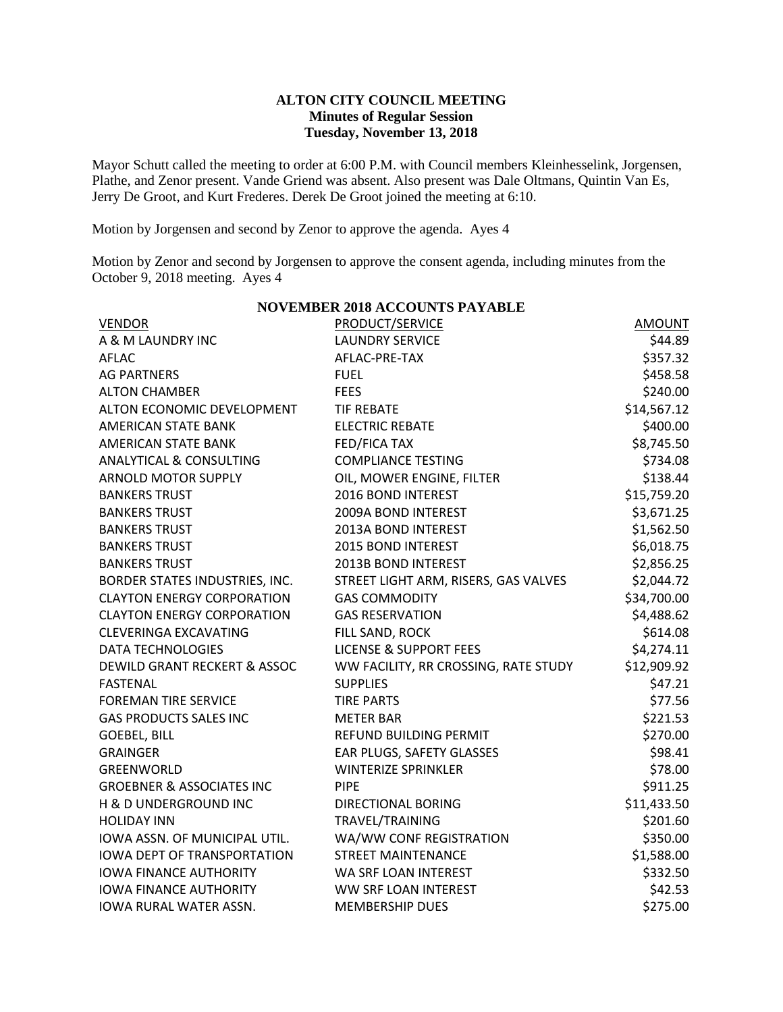#### **ALTON CITY COUNCIL MEETING Minutes of Regular Session Tuesday, November 13, 2018**

Mayor Schutt called the meeting to order at 6:00 P.M. with Council members Kleinhesselink, Jorgensen, Plathe, and Zenor present. Vande Griend was absent. Also present was Dale Oltmans, Quintin Van Es, Jerry De Groot, and Kurt Frederes. Derek De Groot joined the meeting at 6:10.

Motion by Jorgensen and second by Zenor to approve the agenda. Ayes 4

Motion by Zenor and second by Jorgensen to approve the consent agenda, including minutes from the October 9, 2018 meeting. Ayes 4

| <b>NOVEMBER 2018 ACCOUNTS PAYABLE</b> |                                      |               |  |
|---------------------------------------|--------------------------------------|---------------|--|
| <b>VENDOR</b>                         | PRODUCT/SERVICE                      | <b>AMOUNT</b> |  |
| A & M LAUNDRY INC                     | <b>LAUNDRY SERVICE</b>               | \$44.89       |  |
| AFLAC                                 | AFLAC-PRE-TAX                        | \$357.32      |  |
| <b>AG PARTNERS</b>                    | <b>FUEL</b>                          | \$458.58      |  |
| <b>ALTON CHAMBER</b>                  | <b>FEES</b>                          | \$240.00      |  |
| ALTON ECONOMIC DEVELOPMENT            | <b>TIF REBATE</b>                    | \$14,567.12   |  |
| AMERICAN STATE BANK                   | <b>ELECTRIC REBATE</b>               | \$400.00      |  |
| AMERICAN STATE BANK                   | <b>FED/FICA TAX</b>                  | \$8,745.50    |  |
| <b>ANALYTICAL &amp; CONSULTING</b>    | <b>COMPLIANCE TESTING</b>            | \$734.08      |  |
| <b>ARNOLD MOTOR SUPPLY</b>            | OIL, MOWER ENGINE, FILTER            | \$138.44      |  |
| <b>BANKERS TRUST</b>                  | 2016 BOND INTEREST                   | \$15,759.20   |  |
| <b>BANKERS TRUST</b>                  | 2009A BOND INTEREST                  | \$3,671.25    |  |
| <b>BANKERS TRUST</b>                  | 2013A BOND INTEREST                  | \$1,562.50    |  |
| <b>BANKERS TRUST</b>                  | 2015 BOND INTEREST                   | \$6,018.75    |  |
| <b>BANKERS TRUST</b>                  | 2013B BOND INTEREST                  | \$2,856.25    |  |
| BORDER STATES INDUSTRIES, INC.        | STREET LIGHT ARM, RISERS, GAS VALVES | \$2,044.72    |  |
| <b>CLAYTON ENERGY CORPORATION</b>     | <b>GAS COMMODITY</b>                 | \$34,700.00   |  |
| <b>CLAYTON ENERGY CORPORATION</b>     | <b>GAS RESERVATION</b>               | \$4,488.62    |  |
| <b>CLEVERINGA EXCAVATING</b>          | FILL SAND, ROCK                      | \$614.08      |  |
| <b>DATA TECHNOLOGIES</b>              | <b>LICENSE &amp; SUPPORT FEES</b>    | \$4,274.11    |  |
| DEWILD GRANT RECKERT & ASSOC          | WW FACILITY, RR CROSSING, RATE STUDY | \$12,909.92   |  |
| <b>FASTENAL</b>                       | <b>SUPPLIES</b>                      | \$47.21       |  |
| <b>FOREMAN TIRE SERVICE</b>           | <b>TIRE PARTS</b>                    | \$77.56       |  |
| <b>GAS PRODUCTS SALES INC</b>         | <b>METER BAR</b>                     | \$221.53      |  |
| <b>GOEBEL, BILL</b>                   | REFUND BUILDING PERMIT               | \$270.00      |  |
| <b>GRAINGER</b>                       | EAR PLUGS, SAFETY GLASSES            | \$98.41       |  |
| GREENWORLD                            | <b>WINTERIZE SPRINKLER</b>           | \$78.00       |  |
| <b>GROEBNER &amp; ASSOCIATES INC</b>  | <b>PIPE</b>                          | \$911.25      |  |
| H & D UNDERGROUND INC                 | DIRECTIONAL BORING                   | \$11,433.50   |  |
| <b>HOLIDAY INN</b>                    | TRAVEL/TRAINING                      | \$201.60      |  |
| IOWA ASSN. OF MUNICIPAL UTIL.         | WA/WW CONF REGISTRATION              | \$350.00      |  |
| <b>IOWA DEPT OF TRANSPORTATION</b>    | <b>STREET MAINTENANCE</b>            | \$1,588.00    |  |
| <b>IOWA FINANCE AUTHORITY</b>         | WA SRF LOAN INTEREST                 | \$332.50      |  |
| <b>IOWA FINANCE AUTHORITY</b>         | <b>WW SRF LOAN INTEREST</b>          | \$42.53       |  |
| <b>IOWA RURAL WATER ASSN.</b>         | <b>MEMBERSHIP DUES</b>               | \$275.00      |  |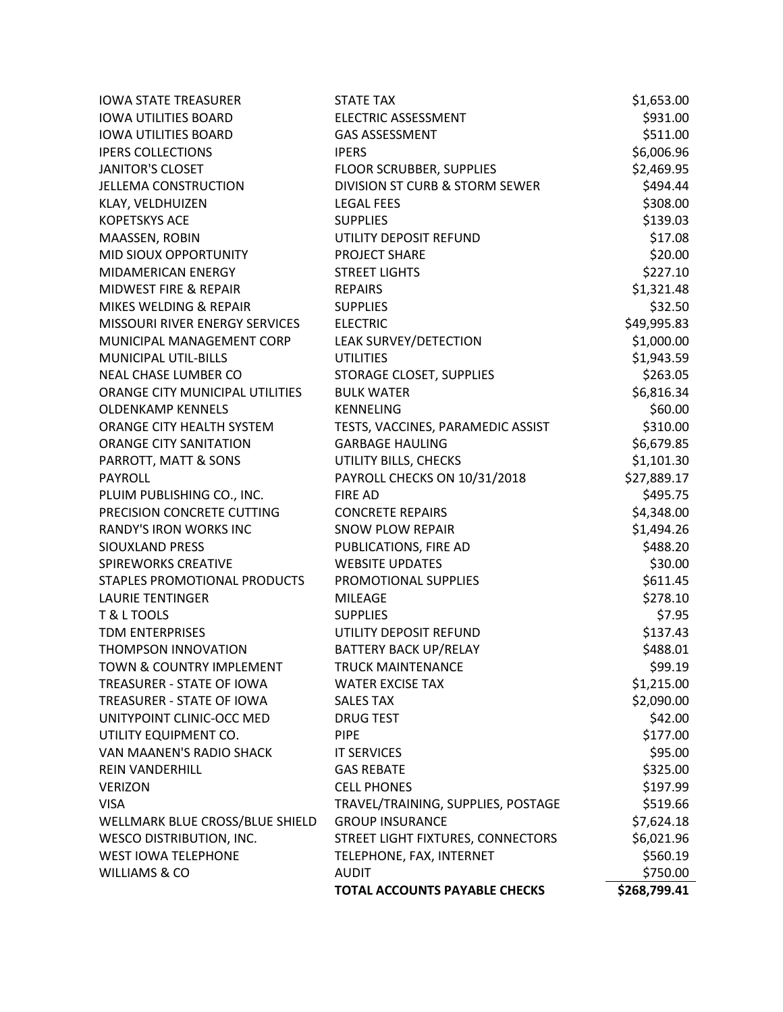| <b>IOWA STATE TREASURER</b>     | <b>STATE TAX</b>                     | \$1,653.00   |
|---------------------------------|--------------------------------------|--------------|
| <b>IOWA UTILITIES BOARD</b>     | <b>ELECTRIC ASSESSMENT</b>           | \$931.00     |
| <b>IOWA UTILITIES BOARD</b>     | <b>GAS ASSESSMENT</b>                | \$511.00     |
| <b>IPERS COLLECTIONS</b>        | <b>IPERS</b>                         | \$6,006.96   |
| <b>JANITOR'S CLOSET</b>         | FLOOR SCRUBBER, SUPPLIES             | \$2,469.95   |
| <b>JELLEMA CONSTRUCTION</b>     | DIVISION ST CURB & STORM SEWER       | \$494.44     |
| KLAY, VELDHUIZEN                | <b>LEGAL FEES</b>                    | \$308.00     |
| <b>KOPETSKYS ACE</b>            | <b>SUPPLIES</b>                      | \$139.03     |
| MAASSEN, ROBIN                  | UTILITY DEPOSIT REFUND               | \$17.08      |
| MID SIOUX OPPORTUNITY           | <b>PROJECT SHARE</b>                 | \$20.00      |
| MIDAMERICAN ENERGY              | <b>STREET LIGHTS</b>                 | \$227.10     |
| MIDWEST FIRE & REPAIR           | <b>REPAIRS</b>                       | \$1,321.48   |
| MIKES WELDING & REPAIR          | <b>SUPPLIES</b>                      | \$32.50      |
| MISSOURI RIVER ENERGY SERVICES  | <b>ELECTRIC</b>                      | \$49,995.83  |
| MUNICIPAL MANAGEMENT CORP       | LEAK SURVEY/DETECTION                | \$1,000.00   |
| MUNICIPAL UTIL-BILLS            | <b>UTILITIES</b>                     | \$1,943.59   |
| NEAL CHASE LUMBER CO            | STORAGE CLOSET, SUPPLIES             | \$263.05     |
| ORANGE CITY MUNICIPAL UTILITIES | <b>BULK WATER</b>                    | \$6,816.34   |
| <b>OLDENKAMP KENNELS</b>        | <b>KENNELING</b>                     | \$60.00      |
| ORANGE CITY HEALTH SYSTEM       | TESTS, VACCINES, PARAMEDIC ASSIST    | \$310.00     |
| <b>ORANGE CITY SANITATION</b>   | <b>GARBAGE HAULING</b>               | \$6,679.85   |
| PARROTT, MATT & SONS            | UTILITY BILLS, CHECKS                | \$1,101.30   |
| <b>PAYROLL</b>                  | PAYROLL CHECKS ON 10/31/2018         | \$27,889.17  |
| PLUIM PUBLISHING CO., INC.      | <b>FIRE AD</b>                       | \$495.75     |
| PRECISION CONCRETE CUTTING      | <b>CONCRETE REPAIRS</b>              | \$4,348.00   |
| <b>RANDY'S IRON WORKS INC</b>   | <b>SNOW PLOW REPAIR</b>              | \$1,494.26   |
| <b>SIOUXLAND PRESS</b>          | PUBLICATIONS, FIRE AD                | \$488.20     |
| <b>SPIREWORKS CREATIVE</b>      | <b>WEBSITE UPDATES</b>               | \$30.00      |
| STAPLES PROMOTIONAL PRODUCTS    | PROMOTIONAL SUPPLIES                 | \$611.45     |
| <b>LAURIE TENTINGER</b>         | <b>MILEAGE</b>                       | \$278.10     |
| T & L TOOLS                     | <b>SUPPLIES</b>                      | \$7.95       |
| <b>TDM ENTERPRISES</b>          | UTILITY DEPOSIT REFUND               | \$137.43     |
| THOMPSON INNOVATION             | <b>BATTERY BACK UP/RELAY</b>         | \$488.01     |
| TOWN & COUNTRY IMPLEMENT        | <b>TRUCK MAINTENANCE</b>             | \$99.19      |
| TREASURER - STATE OF IOWA       | <b>WATER EXCISE TAX</b>              | \$1,215.00   |
| TREASURER - STATE OF IOWA       | <b>SALES TAX</b>                     | \$2,090.00   |
| UNITYPOINT CLINIC-OCC MED       | <b>DRUG TEST</b>                     | \$42.00      |
| UTILITY EQUIPMENT CO.           | <b>PIPE</b>                          | \$177.00     |
| VAN MAANEN'S RADIO SHACK        | <b>IT SERVICES</b>                   | \$95.00      |
| <b>REIN VANDERHILL</b>          | <b>GAS REBATE</b>                    | \$325.00     |
| <b>VERIZON</b>                  | <b>CELL PHONES</b>                   | \$197.99     |
| <b>VISA</b>                     | TRAVEL/TRAINING, SUPPLIES, POSTAGE   | \$519.66     |
| WELLMARK BLUE CROSS/BLUE SHIELD | <b>GROUP INSURANCE</b>               | \$7,624.18   |
| <b>WESCO DISTRIBUTION, INC.</b> | STREET LIGHT FIXTURES, CONNECTORS    | \$6,021.96   |
| <b>WEST IOWA TELEPHONE</b>      | TELEPHONE, FAX, INTERNET             | \$560.19     |
| <b>WILLIAMS &amp; CO</b>        | <b>AUDIT</b>                         | \$750.00     |
|                                 | <b>TOTAL ACCOUNTS PAYABLE CHECKS</b> | \$268,799.41 |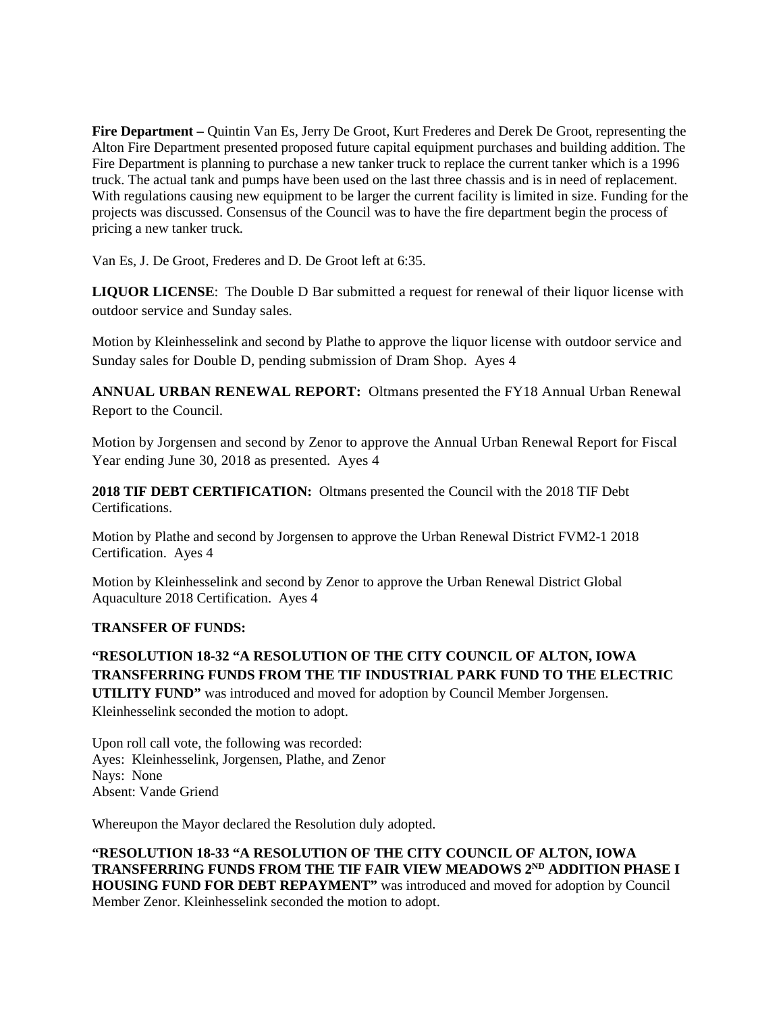**Fire Department –** Quintin Van Es, Jerry De Groot, Kurt Frederes and Derek De Groot, representing the Alton Fire Department presented proposed future capital equipment purchases and building addition. The Fire Department is planning to purchase a new tanker truck to replace the current tanker which is a 1996 truck. The actual tank and pumps have been used on the last three chassis and is in need of replacement. With regulations causing new equipment to be larger the current facility is limited in size. Funding for the projects was discussed. Consensus of the Council was to have the fire department begin the process of pricing a new tanker truck.

Van Es, J. De Groot, Frederes and D. De Groot left at 6:35.

**LIQUOR LICENSE**: The Double D Bar submitted a request for renewal of their liquor license with outdoor service and Sunday sales.

Motion by Kleinhesselink and second by Plathe to approve the liquor license with outdoor service and Sunday sales for Double D, pending submission of Dram Shop. Ayes 4

**ANNUAL URBAN RENEWAL REPORT:** Oltmans presented the FY18 Annual Urban Renewal Report to the Council.

Motion by Jorgensen and second by Zenor to approve the Annual Urban Renewal Report for Fiscal Year ending June 30, 2018 as presented. Ayes 4

**2018 TIF DEBT CERTIFICATION:** Oltmans presented the Council with the 2018 TIF Debt Certifications.

Motion by Plathe and second by Jorgensen to approve the Urban Renewal District FVM2-1 2018 Certification. Ayes 4

Motion by Kleinhesselink and second by Zenor to approve the Urban Renewal District Global Aquaculture 2018 Certification. Ayes 4

## **TRANSFER OF FUNDS:**

# **"RESOLUTION 18-32 "A RESOLUTION OF THE CITY COUNCIL OF ALTON, IOWA TRANSFERRING FUNDS FROM THE TIF INDUSTRIAL PARK FUND TO THE ELECTRIC**

**UTILITY FUND"** was introduced and moved for adoption by Council Member Jorgensen. Kleinhesselink seconded the motion to adopt.

Upon roll call vote, the following was recorded: Ayes: Kleinhesselink, Jorgensen, Plathe, and Zenor Nays: None Absent: Vande Griend

Whereupon the Mayor declared the Resolution duly adopted.

**"RESOLUTION 18-33 "A RESOLUTION OF THE CITY COUNCIL OF ALTON, IOWA TRANSFERRING FUNDS FROM THE TIF FAIR VIEW MEADOWS 2ND ADDITION PHASE I HOUSING FUND FOR DEBT REPAYMENT"** was introduced and moved for adoption by Council Member Zenor. Kleinhesselink seconded the motion to adopt.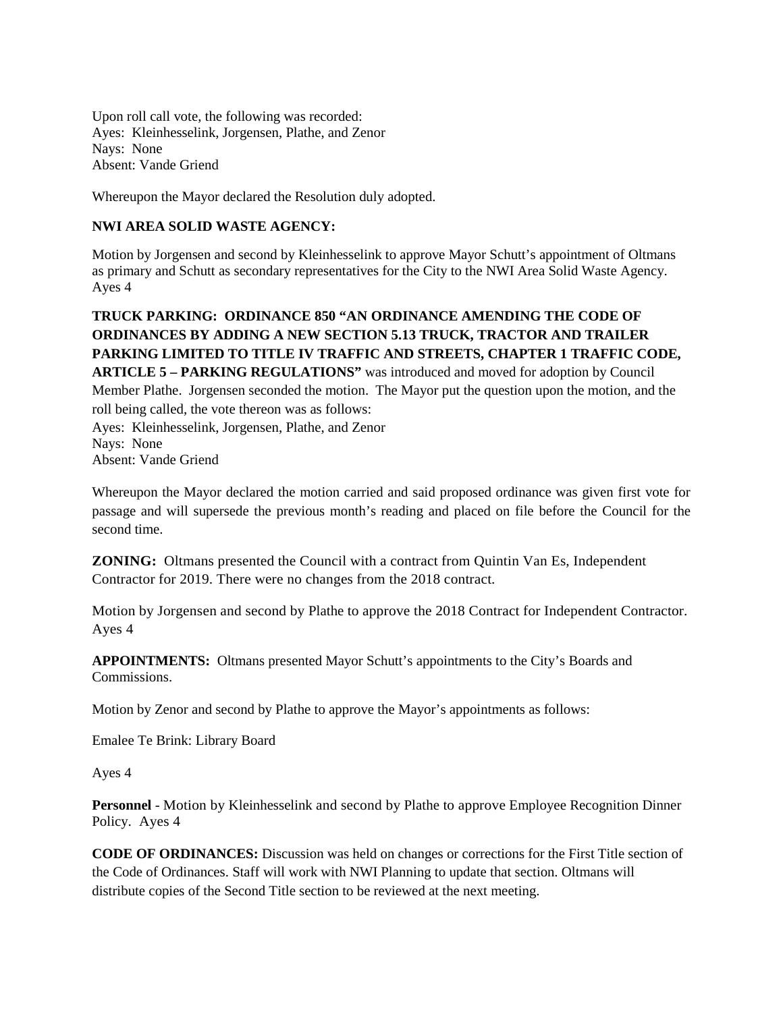Upon roll call vote, the following was recorded: Ayes: Kleinhesselink, Jorgensen, Plathe, and Zenor Nays: None Absent: Vande Griend

Whereupon the Mayor declared the Resolution duly adopted.

### **NWI AREA SOLID WASTE AGENCY:**

Motion by Jorgensen and second by Kleinhesselink to approve Mayor Schutt's appointment of Oltmans as primary and Schutt as secondary representatives for the City to the NWI Area Solid Waste Agency. Ayes 4

## **TRUCK PARKING: ORDINANCE 850 "AN ORDINANCE AMENDING THE CODE OF ORDINANCES BY ADDING A NEW SECTION 5.13 TRUCK, TRACTOR AND TRAILER PARKING LIMITED TO TITLE IV TRAFFIC AND STREETS, CHAPTER 1 TRAFFIC CODE, ARTICLE 5 – PARKING REGULATIONS"** was introduced and moved for adoption by Council Member Plathe. Jorgensen seconded the motion. The Mayor put the question upon the motion, and the roll being called, the vote thereon was as follows: Ayes: Kleinhesselink, Jorgensen, Plathe, and Zenor Nays: None

Absent: Vande Griend

Whereupon the Mayor declared the motion carried and said proposed ordinance was given first vote for passage and will supersede the previous month's reading and placed on file before the Council for the second time.

**ZONING:** Oltmans presented the Council with a contract from Quintin Van Es, Independent Contractor for 2019. There were no changes from the 2018 contract.

Motion by Jorgensen and second by Plathe to approve the 2018 Contract for Independent Contractor. Ayes 4

**APPOINTMENTS:** Oltmans presented Mayor Schutt's appointments to the City's Boards and Commissions.

Motion by Zenor and second by Plathe to approve the Mayor's appointments as follows:

Emalee Te Brink: Library Board

Ayes 4

**Personnel** - Motion by Kleinhesselink and second by Plathe to approve Employee Recognition Dinner Policy. Ayes 4

**CODE OF ORDINANCES:** Discussion was held on changes or corrections for the First Title section of the Code of Ordinances. Staff will work with NWI Planning to update that section. Oltmans will distribute copies of the Second Title section to be reviewed at the next meeting.